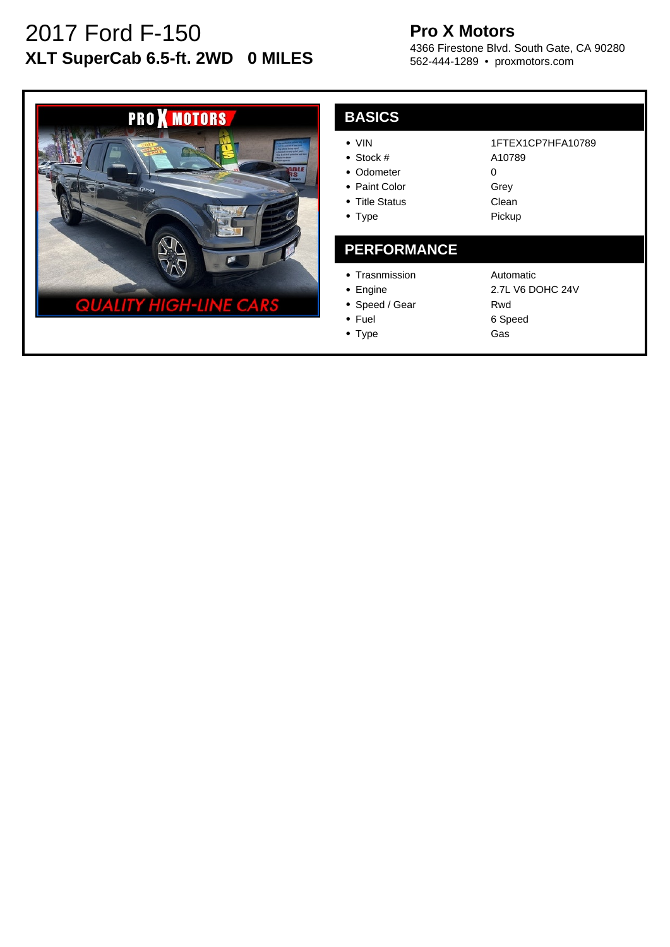# 2017 Ford F-150 **XLT SuperCab 6.5-ft. 2WD 0 MILES**

## **Pro X Motors**

4366 Firestone Blvd. South Gate, CA 90280 562-444-1289 • proxmotors.com



| <b>BASICS</b>                                                                         |                                                             |
|---------------------------------------------------------------------------------------|-------------------------------------------------------------|
| $\bullet$ VIN<br>• Stock $#$<br>Odometer<br>• Paint Color<br>• Title Status<br>• Type | 1FTEX1CP7HFA10789<br>A10789<br>O<br>Grey<br>Clean<br>Pickup |
| <b>PERFORMANCE</b>                                                                    |                                                             |
| • Trasnmission<br>Engine                                                              | Automatic<br>2.7L V6 DOHC 24V                               |

- Speed / Gear
- Fuel
- Type

Rwd 6 Speed Gas